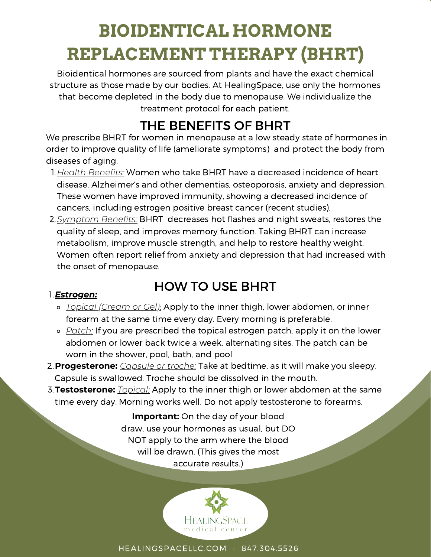# **BIOIDENTICAL HORMONE REPLACEMENT THERAPY (BHRT)**

Bioidentical hormones are sourced from plants and have the exact chemical structure as those made by our bodies. At HealingSpace, use only the hormones that become depleted in the body due to menopause. We individualize the treatment protocol for each patient.

## THE BENEFITS OF BHRT

We prescribe BHRT for women in menopause at a low steady state of hormones in order to improve quality of life (ameliorate symptoms) and protect the body from diseases of aging.

- *Health Benefits:* Women who take BHRT have a decreased incidence of heart 1. disease, Alzheimer's and other dementias, osteoporosis, anxiety and depression. These women have improved immunity, showing a decreased incidence of cancers, including estrogen positive breast cancer (recent studies).
- *Symptom Benefits:* BHRT decreases hot flashes and night sweats, restores the 2. quality of sleep, and improves memory function. Taking BHRT can increase metabolism, improve muscle strength, and help to restore healthy weight. Women often report relief from anxiety and depression that had increased with the onset of menopause.

#### *Estrogen:* 1.

### HOW TO USE BHRT

- *Topical (Cream or Gel)*: Apply to the inner thigh, lower abdomen, or inner forearm at the same time every day. Every morning is preferable.
- *Patch:* If you are prescribed the topical estrogen patch, apply it on the lower abdomen or lower back twice a week, alternating sites. The patch can be worn in the shower, pool, bath, and pool
- **Progesterone:** *Capsule or troche:* Take at bedtime, as it will make you sleepy. 2. Capsule is swallowed. Troche should be dissolved in the mouth.
- **Testosterone:** *Topical:* Apply to the inner thigh or lower abdomen at the same 3. time every day. Morning works well. Do not apply testosterone to forearms.

**Important:** On the day of your blood draw, use your hormones as usual, but DO NOT apply to the arm where the blood will be drawn. (This gives the most accurate results.)



HEALINGSPACELLC.COM • 847.304.5526